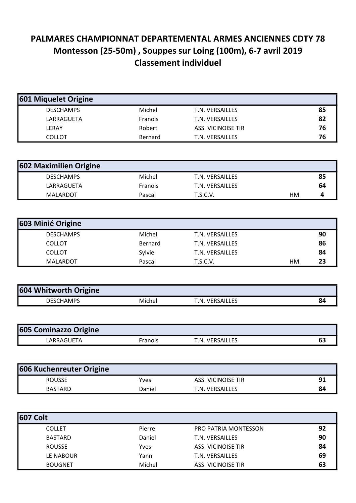## PALMARES CHAMPIONNAT DEPARTEMENTAL ARMES ANCIENNES CDTY 78 Montesson (25-50m) , Souppes sur Loing (100m), 6-7 avril 2019 Classement individuel

| 601 Miquelet Origine |         |                    |    |
|----------------------|---------|--------------------|----|
| <b>DESCHAMPS</b>     | Michel  | T.N. VERSAILLES    | 85 |
| LARRAGUETA           | Franois | T.N. VERSAILLES    | 82 |
| LERAY                | Robert  | ASS. VICINOISE TIR | 76 |
| <b>COLLOT</b>        | Bernard | T.N. VERSAILLES    | 76 |

| 602 Maximilien Origine |         |                 |    |    |
|------------------------|---------|-----------------|----|----|
| <b>DESCHAMPS</b>       | Michel  | T.N. VERSAILLES |    | 85 |
| LARRAGUETA             | Franois | T.N. VERSAILLES |    | 64 |
| MALARDOT               | Pascal  | T.S.C.V.        | нм |    |

| 603 Minié Origine |         |                 |    |    |
|-------------------|---------|-----------------|----|----|
| <b>DESCHAMPS</b>  | Michel  | T.N. VERSAILLES |    | 90 |
| <b>COLLOT</b>     | Bernard | T.N. VERSAILLES |    | 86 |
| <b>COLLOT</b>     | Sylvie  | T.N. VERSAILLES |    | 84 |
| <b>MALARDOT</b>   | Pascal  | T.S.C.V.        | нм | 23 |

| 604 Whitworth Origine |        |                            |    |
|-----------------------|--------|----------------------------|----|
| DESCHAMPS             | Michel | <b>VERSAILLES</b><br>τN. τ | 84 |

| <b>605 Cominazzo Origine</b> |         |                 |    |
|------------------------------|---------|-----------------|----|
| LARRAGUETA                   | Franois | T.N. VERSAILLES | D. |

| <b>606 Kuchenreuter Origine</b> |        |                    |    |
|---------------------------------|--------|--------------------|----|
| <b>ROUSSE</b>                   | Yves   | ASS. VICINOISE TIR | 91 |
| <b>BASTARD</b>                  | Daniel | T.N. VERSAILLES    | 84 |

| <b>607 Colt</b> |        |                             |    |
|-----------------|--------|-----------------------------|----|
| <b>COLLET</b>   | Pierre | <b>PRO PATRIA MONTESSON</b> | 92 |
| <b>BASTARD</b>  | Daniel | T.N. VERSAILLES             | 90 |
| <b>ROUSSE</b>   | Yves   | ASS. VICINOISE TIR          | 84 |
| LE NABOUR       | Yann   | T.N. VERSAILLES             | 69 |
| <b>BOUGNET</b>  | Michel | ASS. VICINOISE TIR          | 63 |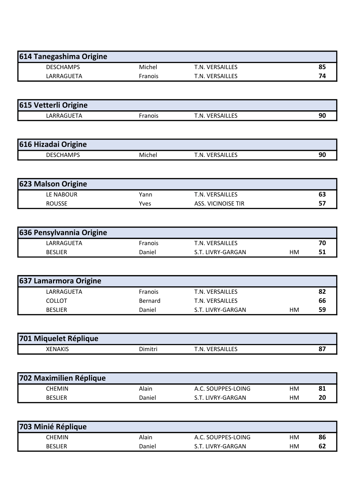| 614 Tanegashima Origine |                |                 |    |
|-------------------------|----------------|-----------------|----|
| <b>DESCHAMPS</b>        | Michel         | T.N. VERSAILLES | 85 |
| LARRAGUETA              | <b>Franois</b> | T.N. VERSAILLES |    |

| 615 Vetterli Origine |         |                 |    |
|----------------------|---------|-----------------|----|
| LARRAGUETA           | Franois | T.N. VERSAILLES | ω, |

| 616 Hizadai Origine |        |                 |  |
|---------------------|--------|-----------------|--|
| <b>DESCHAMPS</b>    | Michel | T.N. VERSAILLES |  |

| <b>623 Malson Origine</b> |      |                    |  |
|---------------------------|------|--------------------|--|
| LE NABOUR                 | Yann | T.N. VERSAILLES    |  |
| <b>ROUSSE</b>             | Yves | ASS. VICINOISE TIR |  |

| 636 Pensylvannia Origine |         |                   |    |    |
|--------------------------|---------|-------------------|----|----|
| LARRAGUETA               | Franois | T.N. VERSAILLES   |    | 70 |
| <b>BESLIER</b>           | Daniel  | S.T. LIVRY-GARGAN | НM |    |

| <b>637 Lamarmora Origine</b> |         |                   |    |    |
|------------------------------|---------|-------------------|----|----|
| LARRAGUETA                   | Franois | T.N. VERSAILLES   |    | 82 |
| COLLOT                       | Bernard | T.N. VERSAILLES   |    | 66 |
| <b>BESLIER</b>               | Daniel  | S.T. LIVRY-GARGAN | нм | 59 |

| 701 Miquelet Réplique |         |                         |  |
|-----------------------|---------|-------------------------|--|
| <b>XENAKIS</b>        | )imitri | <b>VERSAILLES</b><br>.N |  |

| 702 Maximilien Réplique |        |                    |    |    |
|-------------------------|--------|--------------------|----|----|
| <b>CHEMIN</b>           | Alain  | A.C. SOUPPES-LOING | нм | 81 |
| <b>BESLIER</b>          | Daniel | S.T. LIVRY-GARGAN  | НM | 20 |

| 703 Minié Réplique |        |                    |    |    |
|--------------------|--------|--------------------|----|----|
| CHEMIN             | Alain  | A.C. SOUPPES-LOING | нм | 86 |
| <b>BESLIER</b>     | Daniel | S.T. LIVRY-GARGAN  | НM | 62 |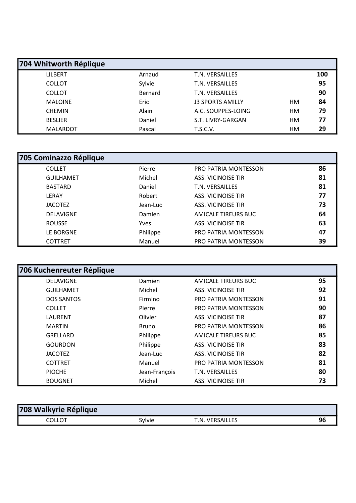| 704 Whitworth Réplique |         |                         |    |     |
|------------------------|---------|-------------------------|----|-----|
| <b>LILBERT</b>         | Arnaud  | T.N. VERSAILLES         |    | 100 |
| <b>COLLOT</b>          | Sylvie  | T.N. VERSAILLES         |    | 95  |
| <b>COLLOT</b>          | Bernard | T.N. VERSAILLES         |    | 90  |
| <b>MALOINE</b>         | Eric    | <b>J3 SPORTS AMILLY</b> | HМ | 84  |
| <b>CHEMIN</b>          | Alain   | A.C. SOUPPES-LOING      | HМ | 79  |
| <b>BESLIER</b>         | Daniel  | S.T. LIVRY-GARGAN       | HМ | 77  |
| <b>MALARDOT</b>        | Pascal  | T.S.C.V.                | HМ | 29  |

| 705 Cominazzo Réplique |          |                             |    |
|------------------------|----------|-----------------------------|----|
| <b>COLLET</b>          | Pierre   | PRO PATRIA MONTESSON        | 86 |
| <b>GUILHAMET</b>       | Michel   | ASS. VICINOISE TIR          | 81 |
| <b>BASTARD</b>         | Daniel   | T.N. VERSAILLES             | 81 |
| LERAY                  | Robert   | ASS. VICINOISE TIR          | 77 |
| <b>JACOTEZ</b>         | Jean-Luc | ASS. VICINOISE TIR          | 73 |
| <b>DELAVIGNE</b>       | Damien   | AMICALE TIREURS BUC         | 64 |
| <b>ROUSSE</b>          | Yves     | ASS. VICINOISE TIR          | 63 |
| LE BORGNE              | Philippe | <b>PRO PATRIA MONTESSON</b> | 47 |
| <b>COTTRET</b>         | Manuel   | <b>PRO PATRIA MONTESSON</b> | 39 |

| 706 Kuchenreuter Réplique |               |                             |    |
|---------------------------|---------------|-----------------------------|----|
| <b>DELAVIGNE</b>          | Damien        | AMICALE TIREURS BUC         | 95 |
| <b>GUILHAMET</b>          | Michel        | ASS. VICINOISE TIR          | 92 |
| <b>DOS SANTOS</b>         | Firmino       | <b>PRO PATRIA MONTESSON</b> | 91 |
| <b>COLLET</b>             | Pierre        | <b>PRO PATRIA MONTESSON</b> | 90 |
| LAURENT                   | Olivier       | ASS. VICINOISE TIR          | 87 |
| <b>MARTIN</b>             | <b>Bruno</b>  | <b>PRO PATRIA MONTESSON</b> | 86 |
| GRELLARD                  | Philippe      | AMICALE TIREURS BUC         | 85 |
| <b>GOURDON</b>            | Philippe      | ASS. VICINOISE TIR          | 83 |
| <b>JACOTEZ</b>            | Jean-Luc      | ASS. VICINOISE TIR          | 82 |
| <b>COTTRET</b>            | Manuel        | <b>PRO PATRIA MONTESSON</b> | 81 |
| <b>PIOCHE</b>             | Jean-François | T.N. VERSAILLES             | 80 |
| <b>BOUGNET</b>            | Michel        | <b>ASS. VICINOISE TIR</b>   | 73 |

| 708 Walkyrie Réplique |        |                        |  |
|-----------------------|--------|------------------------|--|
| COLLOT                | Sylvie | . VERSAILLES<br>⊤.N. ⊺ |  |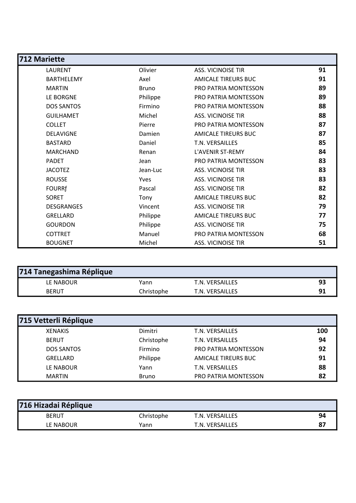| 712 Mariette      |              |                             |    |
|-------------------|--------------|-----------------------------|----|
| LAURENT           | Olivier      | <b>ASS. VICINOISE TIR</b>   | 91 |
| <b>BARTHELEMY</b> | Axel         | AMICALE TIREURS BUC         | 91 |
| <b>MARTIN</b>     | <b>Bruno</b> | <b>PRO PATRIA MONTESSON</b> | 89 |
| LE BORGNE         | Philippe     | PRO PATRIA MONTESSON        | 89 |
| <b>DOS SANTOS</b> | Firmino      | PRO PATRIA MONTESSON        | 88 |
| <b>GUILHAMET</b>  | Michel       | <b>ASS. VICINOISE TIR</b>   | 88 |
| <b>COLLET</b>     | Pierre       | <b>PRO PATRIA MONTESSON</b> | 87 |
| <b>DELAVIGNE</b>  | Damien       | <b>AMICALE TIREURS BUC</b>  | 87 |
| <b>BASTARD</b>    | Daniel       | T.N. VERSAILLES             | 85 |
| <b>MARCHAND</b>   | Renan        | L'AVENIR ST-REMY            | 84 |
| <b>PADET</b>      | Jean         | <b>PRO PATRIA MONTESSON</b> | 83 |
| <b>JACOTEZ</b>    | Jean-Luc     | <b>ASS. VICINOISE TIR</b>   | 83 |
| <b>ROUSSE</b>     | Yves         | <b>ASS. VICINOISE TIR</b>   | 83 |
| <b>FOURRf</b>     | Pascal       | <b>ASS. VICINOISE TIR</b>   | 82 |
| SORET             | Tony         | <b>AMICALE TIREURS BUC</b>  | 82 |
| <b>DESGRANGES</b> | Vincent      | <b>ASS. VICINOISE TIR</b>   | 79 |
| <b>GRELLARD</b>   | Philippe     | <b>AMICALE TIREURS BUC</b>  | 77 |
| <b>GOURDON</b>    | Philippe     | <b>ASS. VICINOISE TIR</b>   | 75 |
| <b>COTTRET</b>    | Manuel       | <b>PRO PATRIA MONTESSON</b> | 68 |
| <b>BOUGNET</b>    | Michel       | ASS. VICINOISE TIR          | 51 |

| 714 Tanegashima Réplique |            |                 |    |
|--------------------------|------------|-----------------|----|
| LE NABOUR                | Yann       | T.N. VERSAILLES | 93 |
| <b>BERUT</b>             | Christophe | T.N. VERSAILLES |    |

| 715 Vetterli Réplique |              |                             |     |
|-----------------------|--------------|-----------------------------|-----|
| <b>XENAKIS</b>        | Dimitri      | T.N. VERSAILLES             | 100 |
| <b>BERUT</b>          | Christophe   | T.N. VERSAILLES             | 94  |
| <b>DOS SANTOS</b>     | Firmino      | <b>PRO PATRIA MONTESSON</b> | 92  |
| GRELLARD              | Philippe     | AMICALE TIREURS BUC         | 91  |
| LE NABOUR             | Yann         | T.N. VERSAILLES             | 88  |
| <b>MARTIN</b>         | <b>Bruno</b> | PRO PATRIA MONTESSON        | 82  |

| 716 Hizadai Réplique |            |                 |    |
|----------------------|------------|-----------------|----|
| <b>BERUT</b>         | Christophe | T.N. VERSAILLES | 94 |
| LE NABOUR            | Yann       | T.N. VERSAILLES | 87 |